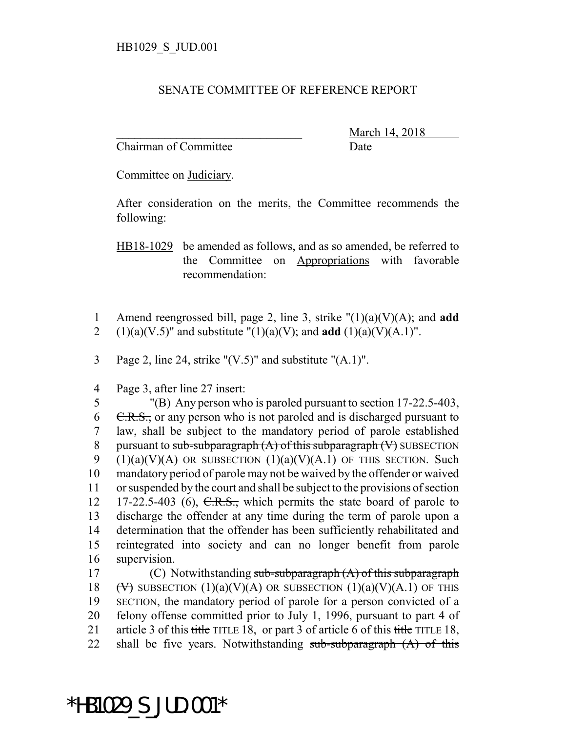## SENATE COMMITTEE OF REFERENCE REPORT

Chairman of Committee Date

\_\_\_\_\_\_\_\_\_\_\_\_\_\_\_\_\_\_\_\_\_\_\_\_\_\_\_\_\_\_\_ March 14, 2018

Committee on Judiciary.

After consideration on the merits, the Committee recommends the following:

HB18-1029 be amended as follows, and as so amended, be referred to the Committee on Appropriations with favorable recommendation:

- 1 Amend reengrossed bill, page 2, line 3, strike "(1)(a)(V)(A); and **add** 2 (1)(a)(V.5)" and substitute "(1)(a)(V); and **add** (1)(a)(V)(A.1)".
- 3 Page 2, line 24, strike "(V.5)" and substitute "(A.1)".
- 4 Page 3, after line 27 insert:

 "(B) Any person who is paroled pursuant to section 17-22.5-403,  $\text{C.R.S.},$  or any person who is not paroled and is discharged pursuant to law, shall be subject to the mandatory period of parole established 8 pursuant to sub-subparagraph  $(A)$  of this subparagraph  $(V)$  SUBSECTION 9 (1)(a)(V)(A) OR SUBSECTION  $(1)(a)(V)(A.1)$  OF THIS SECTION. Such mandatory period of parole may not be waived by the offender or waived or suspended by the court and shall be subject to the provisions of section 12 17-22.5-403 (6),  $C.R.S.,$  which permits the state board of parole to discharge the offender at any time during the term of parole upon a determination that the offender has been sufficiently rehabilitated and reintegrated into society and can no longer benefit from parole supervision.

17 (C) Notwithstanding sub-subparagraph (A) of this subparagraph 18 **(V)** SUBSECTION  $(1)(a)(V)(A)$  OR SUBSECTION  $(1)(a)(V)(A.1)$  OF THIS 19 SECTION, the mandatory period of parole for a person convicted of a 20 felony offense committed prior to July 1, 1996, pursuant to part 4 of 21 article 3 of this title TITLE 18, or part 3 of article 6 of this title TITLE 18, 22 shall be five years. Notwithstanding  $sub-sub-subparamant( A)$  of this

## \*HB1029\_S\_JUD.001\*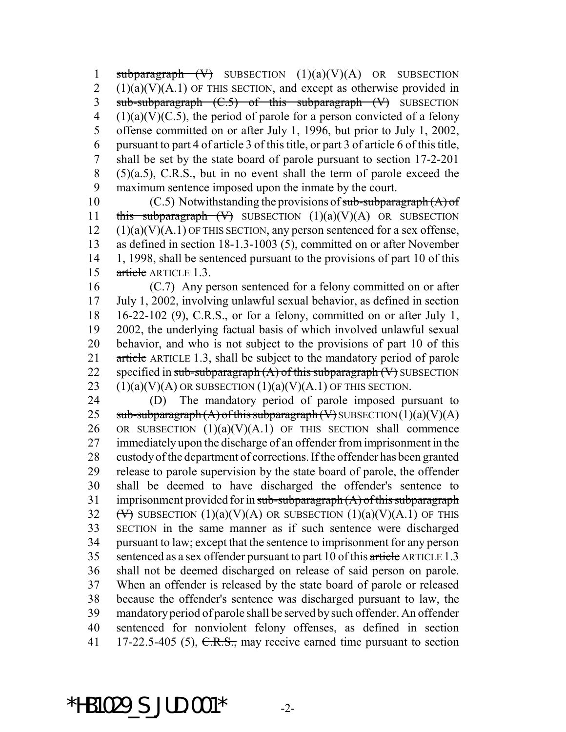1 subparagraph  $(V)$  SUBSECTION  $(1)(a)(V)(A)$  OR SUBSECTION  $2(1)(a)(V)(A.1)$  OF THIS SECTION, and except as otherwise provided in 3 sub-subparagraph  $(C.5)$  of this subparagraph  $(V)$  SUBSECTION  $(1)(a)(V)(C.5)$ , the period of parole for a person convicted of a felony 5 offense committed on or after July 1, 1996, but prior to July 1, 2002, 6 pursuant to part 4 of article 3 of this title, or part 3 of article 6 of this title, 7 shall be set by the state board of parole pursuant to section 17-2-201 8 (5)(a.5),  $C.R.S.,$  but in no event shall the term of parole exceed the 9 maximum sentence imposed upon the inmate by the court.

10 (C.5) Notwithstanding the provisions of sub-subparagraph  $(A)$  of 11 this subparagraph  $(V)$  SUBSECTION  $(1)(a)(V)(A)$  OR SUBSECTION  $12$  (1)(a)(V)(A.1) OF THIS SECTION, any person sentenced for a sex offense, 13 as defined in section 18-1.3-1003 (5), committed on or after November 14 1, 1998, shall be sentenced pursuant to the provisions of part 10 of this 15 article ARTICLE 1.3.

 (C.7) Any person sentenced for a felony committed on or after July 1, 2002, involving unlawful sexual behavior, as defined in section 18 16-22-102 (9),  $C.R.S.,$  or for a felony, committed on or after July 1, 2002, the underlying factual basis of which involved unlawful sexual behavior, and who is not subject to the provisions of part 10 of this 21 article ARTICLE 1.3, shall be subject to the mandatory period of parole 22 specified in sub-subparagraph  $(A)$  of this subparagraph  $(V)$  SUBSECTION  $(1)(a)(V)(A)$  OR SUBSECTION  $(1)(a)(V)(A.1)$  OF THIS SECTION.

 (D) The mandatory period of parole imposed pursuant to 25 sub-subparagraph  $(A)$  of this subparagraph  $(V)$  SUBSECTION  $(1)(a)(V)(A)$ 26 OR SUBSECTION  $(1)(a)(V)(A.1)$  OF THIS SECTION shall commence immediately upon the discharge of an offender from imprisonment in the custody of the department of corrections. If the offender has been granted release to parole supervision by the state board of parole, the offender shall be deemed to have discharged the offender's sentence to 31 imprisonment provided for in sub-subparagraph  $(A)$  of this subparagraph  $(\forall)$  SUBSECTION  $(1)(a)(V)(A)$  OR SUBSECTION  $(1)(a)(V)(A.1)$  OF THIS SECTION in the same manner as if such sentence were discharged pursuant to law; except that the sentence to imprisonment for any person 35 sentenced as a sex offender pursuant to part 10 of this article ARTICLE 1.3 shall not be deemed discharged on release of said person on parole. When an offender is released by the state board of parole or released because the offender's sentence was discharged pursuant to law, the mandatory period of parole shall be served by such offender. An offender sentenced for nonviolent felony offenses, as defined in section 41 17-22.5-405 (5),  $C.R.S.,$  may receive earned time pursuant to section

\*HB1029 S JUD.001\*  $-2$ -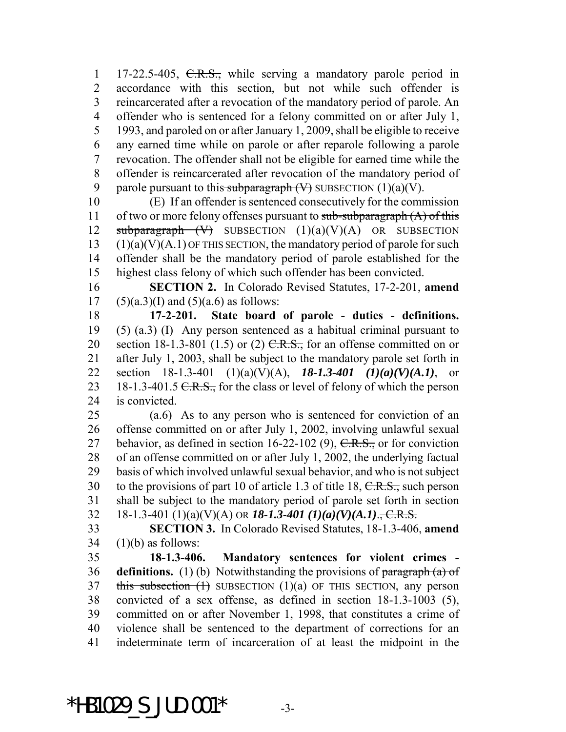17-22.5-405, C.R.S., while serving a mandatory parole period in accordance with this section, but not while such offender is reincarcerated after a revocation of the mandatory period of parole. An offender who is sentenced for a felony committed on or after July 1, 1993, and paroled on or after January 1, 2009, shall be eligible to receive any earned time while on parole or after reparole following a parole revocation. The offender shall not be eligible for earned time while the offender is reincarcerated after revocation of the mandatory period of 9 parole pursuant to this subparagraph  $(V)$  SUBSECTION  $(1)(a)(V)$ .

 (E) If an offender is sentenced consecutively for the commission 11 of two or more felony offenses pursuant to sub-subparagraph  $(A)$  of this 12 subparagraph  $(V)$  SUBSECTION  $(1)(a)(V)(A)$  OR SUBSECTION (1)(a)(V)(A.1) OF THIS SECTION, the mandatory period of parole for such offender shall be the mandatory period of parole established for the highest class felony of which such offender has been convicted.

 **SECTION 2.** In Colorado Revised Statutes, 17-2-201, **amend** 17 (5)(a.3)(I) and (5)(a.6) as follows:

 **17-2-201. State board of parole - duties - definitions.** (5) (a.3) (I) Any person sentenced as a habitual criminal pursuant to 20 section 18-1.3-801 (1.5) or (2)  $C.R.S.,$  for an offense committed on or after July 1, 2003, shall be subject to the mandatory parole set forth in section 18-1.3-401 (1)(a)(V)(A), *18-1.3-401 (1)(a)(V)(A.1)*, or 23 18-1.3-401.5  $C.R.S.,$  for the class or level of felony of which the person is convicted.

 (a.6) As to any person who is sentenced for conviction of an offense committed on or after July 1, 2002, involving unlawful sexual 27 behavior, as defined in section  $16-22-102$  (9),  $C.R.S.,$  or for conviction of an offense committed on or after July 1, 2002, the underlying factual basis of which involved unlawful sexual behavior, and who is not subject 30 to the provisions of part 10 of article 1.3 of title 18,  $C.R.S.,$  such person shall be subject to the mandatory period of parole set forth in section 32 18-1.3-401 (1)(a)(V)(A) OR **18-1.3-401 (1)(a)(V)(A.1)**., C.R.S.

 **SECTION 3.** In Colorado Revised Statutes, 18-1.3-406, **amend** (1)(b) as follows:

 **18-1.3-406. Mandatory sentences for violent crimes - definitions.** (1) (b) Notwithstanding the provisions of paragraph (a) of 37 this subsection  $(1)$  SUBSECTION  $(1)(a)$  OF THIS SECTION, any person convicted of a sex offense, as defined in section 18-1.3-1003 (5), committed on or after November 1, 1998, that constitutes a crime of violence shall be sentenced to the department of corrections for an indeterminate term of incarceration of at least the midpoint in the

\*HB1029 S JUD.001\*  $-3$ -